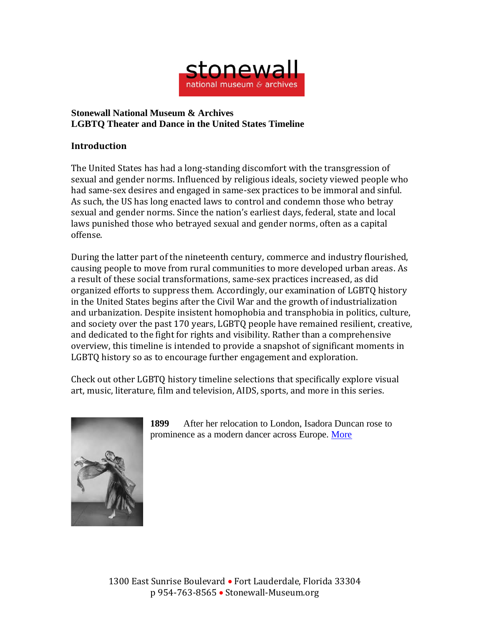

## **Stonewall National Museum & Archives LGBTQ Theater and Dance in the United States Timeline**

## **Introduction**

The United States has had a long-standing discomfort with the transgression of sexual and gender norms. Influenced by religious ideals, society viewed people who had same-sex desires and engaged in same-sex practices to be immoral and sinful. As such, the US has long enacted laws to control and condemn those who betray sexual and gender norms. Since the nation's earliest days, federal, state and local laws punished those who betrayed sexual and gender norms, often as a capital offense.

During the latter part of the nineteenth century, commerce and industry flourished, causing people to move from rural communities to more developed urban areas. As a result of these social transformations, same-sex practices increased, as did organized efforts to suppress them. Accordingly, our examination of LGBTQ history in the United States begins after the Civil War and the growth of industrialization and urbanization. Despite insistent homophobia and transphobia in politics, culture, and society over the past 170 years, LGBTQ people have remained resilient, creative, and dedicated to the fight for rights and visibility. Rather than a comprehensive overview, this timeline is intended to provide a snapshot of significant moments in LGBTQ history so as to encourage further engagement and exploration.

Check out other LGBTQ history timeline selections that specifically explore visual art, music, literature, film and television, AIDS, sports, and more in this series.



**1899** After her relocation to London, Isadora Duncan rose to prominence as a modern dancer across Europe. [More](https://www.isadoraduncanarchive.org/dancer/1)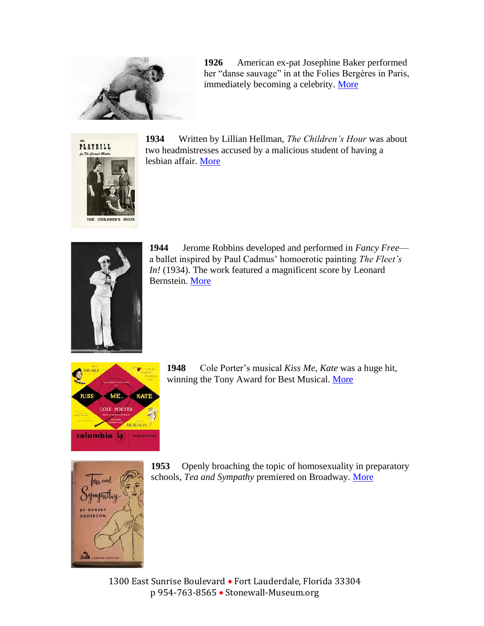

**1926** American ex-pat Josephine Baker performed her "danse sauvage" in at the Folies Bergères in Paris, immediately becoming a celebrity. [More](https://www.vogue.com/article/josephine-baker-90th-anniversary-banana-skirt)



**1934** Written by Lillian Hellman, *The Children's Hour* was about two headmistresses accused by a malicious student of having a lesbian affair. [More](https://www.historymatterscelebratingwomensplaysofthepast.org/plays/view/The-Childrens-Hour)



**1944** Jerome Robbins developed and performed in *Fancy Free* a ballet inspired by Paul Cadmus' homoerotic painting *The Fleet's In!* (1934). The work featured a magnificent score by Leonard Bernstein. [More](https://www.playbill.com/article/fancy-free-the-birth-of-an-american-classic)



**1948** Cole Porter's musical *Kiss Me, Kate* was a huge hit, winning the Tony Award for Best Musical. [More](https://www.americantheatre.org/2018/12/14/the-taming-of-kiss-me-kate/)



**1953** Openly broaching the topic of homosexuality in preparatory schools, *Tea and Sympathy* premiered on Broadway. [More](https://www.playbill.com/article/robert-anderson-tea-and-sympathy-playwright-dead-at-91-com-157850)

1300 East Sunrise Boulevard • Fort Lauderdale, Florida 33304 p 954-763-8565 • Stonewall-Museum.org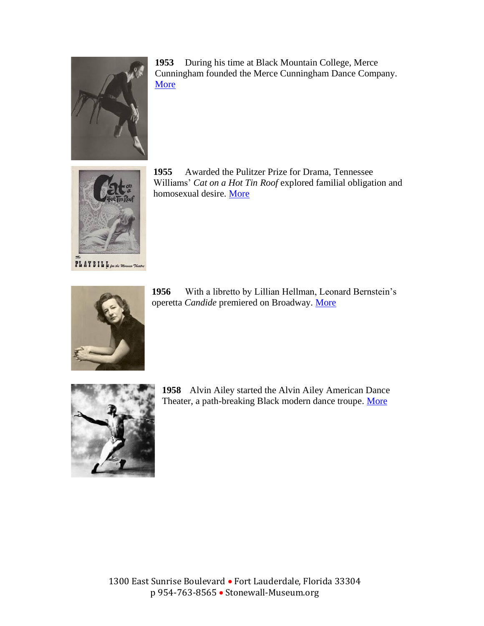

**1953** During his time at Black Mountain College, Merce Cunningham founded the Merce Cunningham Dance Company. [More](https://www.mercecunningham.org/about/merce-cunningham/)



**1955** Awarded the Pulitzer Prize for Drama, Tennessee Williams' *Cat on a Hot Tin Roof* explored familial obligation and homosexual desire. [More](https://www.playbill.com/article/look-back-at-65-years-of-cat-on-a-hot-tin-roof-on-broadway)



**1956** With a libretto by Lillian Hellman, Leonard Bernstein's operetta *Candide* premiered on Broadway. [More](https://www.leonardbernstein.com/works/view/10/candide)



**1958** Alvin Ailey started the Alvin Ailey American Dance Theater, a path-breaking Black modern dance troupe. [More](https://www.alvinailey.org/about/history)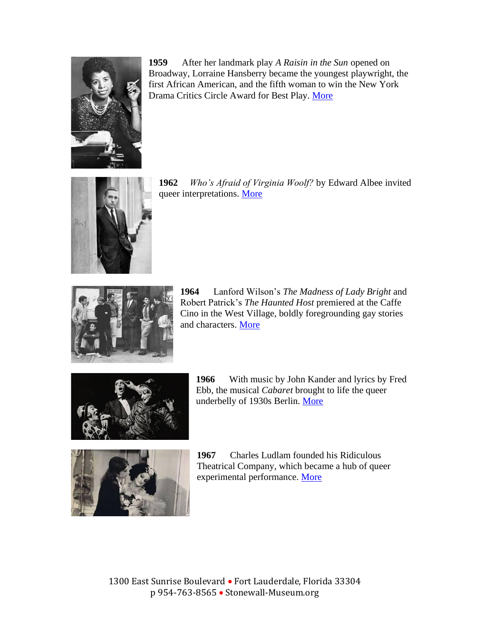

**1959** After her landmark play *A Raisin in the Sun* opened on Broadway, Lorraine Hansberry became the youngest playwright, the first African American, and the fifth woman to win the New York Drama Critics Circle Award for Best Play. [More](http://outhistory.org/exhibits/show/lorraine-hansberry/lesbian-writing)



**1962** *Who's Afraid of Virginia Woolf?* by Edward Albee invited queer interpretations. [More](https://www.playbill.com/article/playbill-archives-whos-afraid-of-virginia-woolf-1962-com-124767)



**1964** Lanford Wilson's *The Madness of Lady Bright* and Robert Patrick's *The Haunted Host* premiered at the Caffe Cino in the West Village, boldly foregrounding gay stories and characters. [More](https://glreview.org/article/1964-the-birth-of-gay-theater/)



**1966** With music by John Kander and lyrics by Fred Ebb, the musical *Cabaret* brought to life the queer underbelly of 1930s Berlin. [More](https://www.latimes.com/entertainment/arts/la-ca-cm-cabaret-pantages-20160718-snap-story.html)



**1967** Charles Ludlam founded his Ridiculous Theatrical Company, which became a hub of queer experimental performance. [More](https://www.villagepreservation.org/2016/10/12/the-ridiculous-theatrical-company/)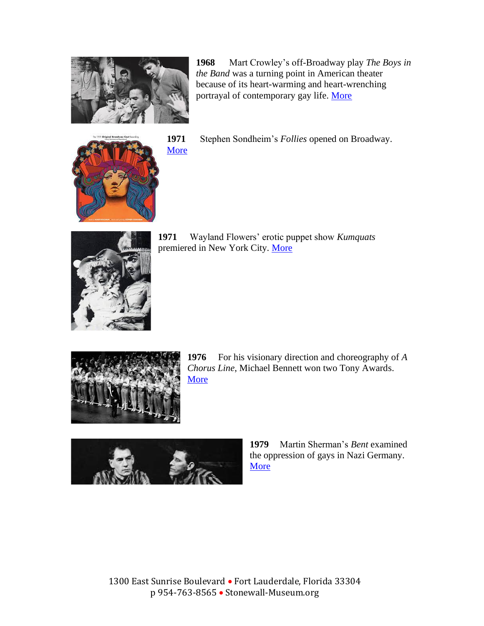

**1968** Mart Crowley's off-Broadway play *The Boys in the Band* was a turning point in American theater because of its heart-warming and heart-wrenching portrayal of contemporary gay life. [More](https://www.nytimes.com/2018/02/26/t-magazine/gay-theater-history-boys-in-the-band.html)



**1971** Stephen Sondheim's *Follies* opened on Broadway.

[More](https://www.playbill.com/article/look-back-at-stephen-sondheims-follies-on-broadway)



**1971** Wayland Flowers' erotic puppet show *Kumquats*  premiered in New York City. [More](https://wepa.unima.org/en/wayland-flowers/)



**1976** For his visionary direction and choreography of *A Chorus Line*, Michael Bennett won two Tony Awards. [More](https://www.bbc.com/news/entertainment-arts-39405660)



**1979** Martin Sherman's *Bent* examined the oppression of gays in Nazi Germany. [More](https://www.theatermania.com/los-angeles-theater/news/martin-sherman-bent-taper-interview_73724.html)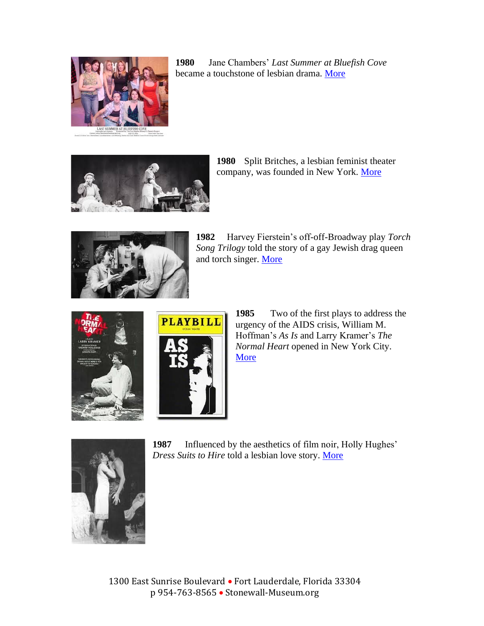

| 1980 | Jane Chambers' Last Summer at Bluefish Cove |  |
|------|---------------------------------------------|--|
|      | became a touchstone of lesbian drama. More  |  |



**1980** Split Britches, a lesbian feminist theater company, was founded in New York. [More](http://www.split-britches.com/home)



**1982** Harvey Fierstein's off-off-Broadway play *Torch Song Trilogy* told the story of a gay Jewish drag queen and torch singer. [More](https://www.theguardian.com/stage/2012/may/28/harvey-fierstein-antony-sher-torch)





**1985** Two of the first plays to address the urgency of the AIDS crisis, William M. Hoffman's *As Is* and Larry Kramer's *The Normal Heart* opened in New York City. [More](https://www.playbill.com/article/when-as-is-and-the-normal-heart-both-tackled-aids)



**1987** Influenced by the aesthetics of film noir, Holly Hughes' *Dress Suits to Hire* told a lesbian love story. [More](http://www.lamama.org/archives/2005/DressSuits.htm)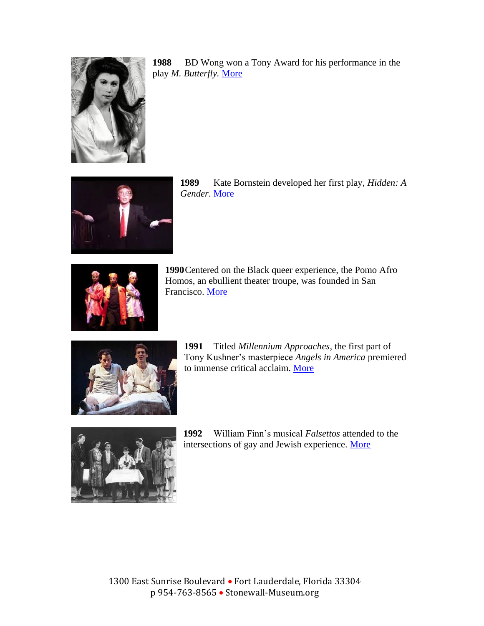

**1988** BD Wong won a Tony Award for his performance in the play *M. Butterfly.* [More](https://www.nytimes.com/2017/10/17/theater/5-artists-on-how-m-butterfly-changed-their-lives.html)



**1989** Kate Bornstein developed her first play, *Hidden: A Gender*. [More](https://www.youtube.com/watch?v=fFD8NpA3hec)



**1990**Centered on the Black queer experience, the Pomo Afro Homos, an ebullient theater troupe, was founded in San Francisco. [More](https://sites.google.com/nyu.edu/contemporaryplaywrightsofcolor/postmodern-african-american-homosexuals-pomo-afro-homos)



**1991** Titled *Millennium Approaches*, the first part of Tony Kushner's masterpiece *Angels in America* premiered to immense critical acclaim. [More](https://www.newyorker.com/magazine/2018/04/16/angels-in-america-brilliant-maddening-and-necessary)



**1992** William Finn's musical *Falsettos* attended to the intersections of gay and Jewish experience. [More](https://www.playbill.com/article/william-finn-explains-how-falsettos-came-to-be)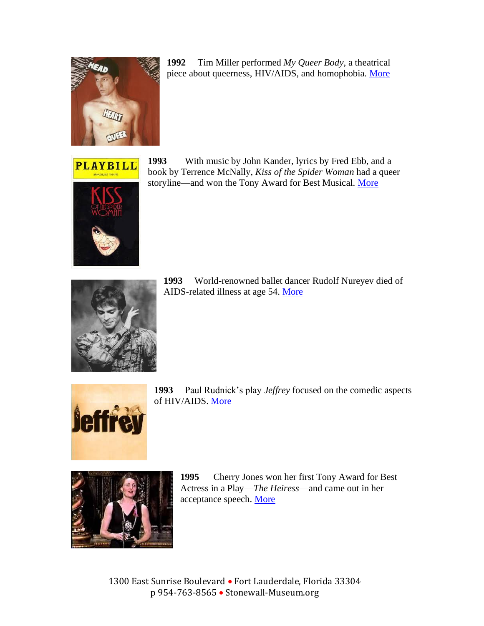

**1992** Tim Miller performed *My Queer Body*, a theatrical piece about queerness, HIV/AIDS, and homophobia. [More](https://hemisphericinstitute.org/en/hidvl-collections/item/2636-tim-miller-body.html)



**1993** With music by John Kander, lyrics by Fred Ebb, and a book by Terrence McNally, *Kiss of the Spider Woman* had a queer storyline—and won the Tony Award for Best Musical. [More](https://www.playbill.com/article/look-back-at-kiss-of-the-spider-woman-on-broadway)



**1993** World-renowned ballet dancer Rudolf Nureyev died of AIDS-related illness at age 54. [More](https://www.theguardian.com/stage/2003/jan/30/dance.artsfeatures)



**1993** Paul Rudnick's play *Jeffrey* focused on the comedic aspects of HIV/AIDS[. More](https://www.nytimes.com/1993/01/21/theater/review-theater-laughs-that-mask-the-fears-of-gay-manhattan.html)



**1995** Cherry Jones won her first Tony Award for Best Actress in a Play—*The Heiress*—and came out in her acceptance speech. [More](https://www.npr.org/2020/08/31/906693558/actor-cherry-jones-on-her-journey-from-theater-to-succession-media-mogul)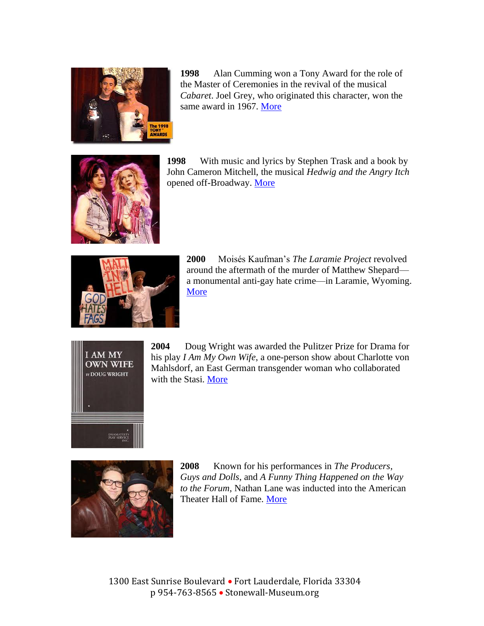

**1998** Alan Cumming won a Tony Award for the role of the Master of Ceremonies in the revival of the musical *Cabaret*. Joel Grey, who originated this character, won the same award in 1967. [More](http://www.alancumming.com/1998/2015/5/26/cabaret-1998)



**1998** With music and lyrics by Stephen Trask and a book by John Cameron Mitchell, the musical *Hedwig and the Angry Itch*  opened off-Broadway. [More](https://www.theguardian.com/stage/2014/jul/21/hedwig-and-the-angry-inch-musicals-we-love)



**2000** Moisés Kaufman's *The Laramie Project* revolved around the aftermath of the murder of Matthew Shepard a monumental anti-gay hate crime—in Laramie, Wyoming. [More](https://www.tectonictheaterproject.org/?avada_portfolio=laramie)



**2004** Doug Wright was awarded the Pulitzer Prize for Drama for his play *I Am My Own Wife*, a one-person show about Charlotte von Mahlsdorf, an East German transgender woman who collaborated with the Stasi. [More](https://www.pulitzer.org/winners/doug-wright)



**2008** Known for his performances in *The Producers*, *Guys and Dolls*, and *A Funny Thing Happened on the Way to the Forum*, Nathan Lane was inducted into the American Theater Hall of Fame. [More](https://www.nytimes.com/2010/05/30/theater/30nathan.html)